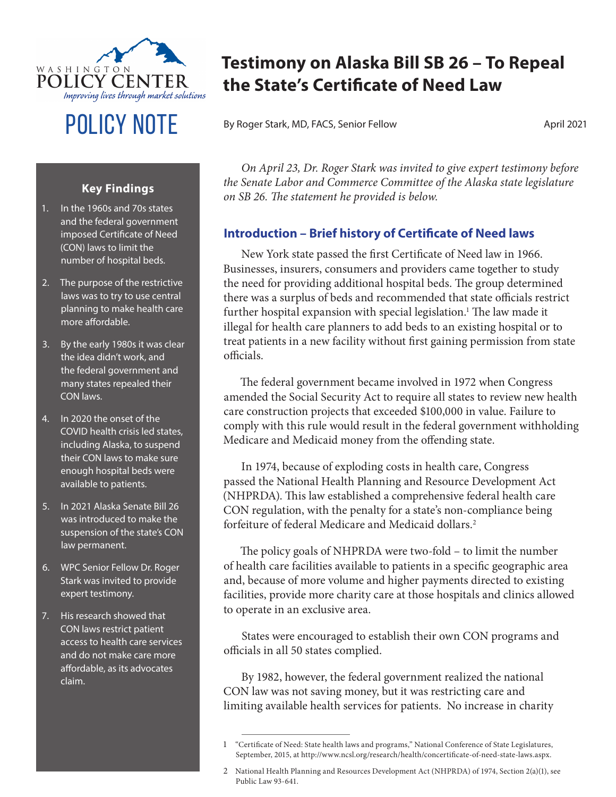

# POLICY NOTE By Roger Stark, MD, FACS, Senior Fellow April 2021

# **Testimony on Alaska Bill SB 26 – To Repeal the State's Certificate of Need Law**

### **Key Findings**

- 1. In the 1960s and 70s states and the federal government imposed Certificate of Need (CON) laws to limit the number of hospital beds.
- 2. The purpose of the restrictive laws was to try to use central planning to make health care more affordable.
- 3. By the early 1980s it was clear the idea didn't work, and the federal government and many states repealed their CON laws.
- 4. In 2020 the onset of the COVID health crisis led states, including Alaska, to suspend their CON laws to make sure enough hospital beds were available to patients.
- 5. In 2021 Alaska Senate Bill 26 was introduced to make the suspension of the state's CON law permanent.
- 6. WPC Senior Fellow Dr. Roger Stark was invited to provide expert testimony.
- 7. His research showed that CON laws restrict patient access to health care services and do not make care more affordable, as its advocates claim.

*On April 23, Dr. Roger Stark was invited to give expert testimony before the Senate Labor and Commerce Committee of the Alaska state legislature on SB 26. The statement he provided is below.*

## **Introduction – Brief history of Certificate of Need laws**

New York state passed the first Certificate of Need law in 1966. Businesses, insurers, consumers and providers came together to study the need for providing additional hospital beds. The group determined there was a surplus of beds and recommended that state officials restrict further hospital expansion with special legislation.<sup>1</sup> The law made it illegal for health care planners to add beds to an existing hospital or to treat patients in a new facility without first gaining permission from state officials.

The federal government became involved in 1972 when Congress amended the Social Security Act to require all states to review new health care construction projects that exceeded \$100,000 in value. Failure to comply with this rule would result in the federal government withholding Medicare and Medicaid money from the offending state.

In 1974, because of exploding costs in health care, Congress passed the National Health Planning and Resource Development Act (NHPRDA). This law established a comprehensive federal health care CON regulation, with the penalty for a state's non-compliance being forfeiture of federal Medicare and Medicaid dollars.2

The policy goals of NHPRDA were two-fold – to limit the number of health care facilities available to patients in a specific geographic area and, because of more volume and higher payments directed to existing facilities, provide more charity care at those hospitals and clinics allowed to operate in an exclusive area.

States were encouraged to establish their own CON programs and officials in all 50 states complied.

By 1982, however, the federal government realized the national CON law was not saving money, but it was restricting care and limiting available health services for patients. No increase in charity

<sup>1</sup> "Certificate of Need: State health laws and programs," National Conference of State Legislatures, September, 2015, at http://www.ncsl.org/research/health/concertificate-of-need-state-laws.aspx.

<sup>2</sup> National Health Planning and Resources Development Act (NHPRDA) of 1974, Section 2(a)(1), see Public Law 93-641.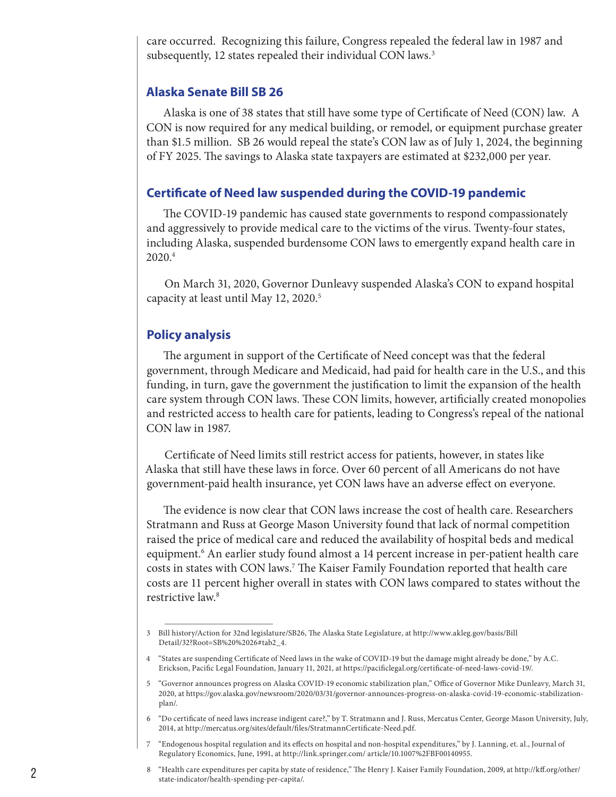care occurred. Recognizing this failure, Congress repealed the federal law in 1987 and subsequently, 12 states repealed their individual CON laws.<sup>3</sup>

#### **Alaska Senate Bill SB 26**

Alaska is one of 38 states that still have some type of Certificate of Need (CON) law. A CON is now required for any medical building, or remodel, or equipment purchase greater than \$1.5 million. SB 26 would repeal the state's CON law as of July 1, 2024, the beginning of FY 2025. The savings to Alaska state taxpayers are estimated at \$232,000 per year.

#### **Certificate of Need law suspended during the COVID-19 pandemic**

The COVID-19 pandemic has caused state governments to respond compassionately and aggressively to provide medical care to the victims of the virus. Twenty-four states, including Alaska, suspended burdensome CON laws to emergently expand health care in  $2020.<sup>4</sup>$ 

On March 31, 2020, Governor Dunleavy suspended Alaska's CON to expand hospital capacity at least until May 12, 2020.<sup>5</sup>

#### **Policy analysis**

The argument in support of the Certificate of Need concept was that the federal government, through Medicare and Medicaid, had paid for health care in the U.S., and this funding, in turn, gave the government the justification to limit the expansion of the health care system through CON laws. These CON limits, however, artificially created monopolies and restricted access to health care for patients, leading to Congress's repeal of the national CON law in 1987.

Certificate of Need limits still restrict access for patients, however, in states like Alaska that still have these laws in force. Over 60 percent of all Americans do not have government-paid health insurance, yet CON laws have an adverse effect on everyone.

The evidence is now clear that CON laws increase the cost of health care. Researchers Stratmann and Russ at George Mason University found that lack of normal competition raised the price of medical care and reduced the availability of hospital beds and medical equipment.<sup>6</sup> An earlier study found almost a 14 percent increase in per-patient health care costs in states with CON laws.<sup>7</sup> The Kaiser Family Foundation reported that health care costs are 11 percent higher overall in states with CON laws compared to states without the restrictive law.<sup>8</sup>

<sup>3</sup> Bill history/Action for 32nd legislature/SB26, The Alaska State Legislature, at http://www.akleg.gov/basis/Bill Detail/32?Root=SB%20%2026#tab2\_4.

<sup>4</sup> "States are suspending Certificate of Need laws in the wake of COVID-19 but the damage might already be done," by A.C. Erickson, Pacific Legal Foundation, January 11, 2021, at https://pacificlegal.org/certificate-of-need-laws-covid-19/.

<sup>5</sup> "Governor announces progress on Alaska COVID-19 economic stabilization plan," Office of Governor Mike Dunleavy, March 31, 2020, at https://gov.alaska.gov/newsroom/2020/03/31/governor-announces-progress-on-alaska-covid-19-economic-stabilizationplan/.

<sup>6</sup> "Do certificate of need laws increase indigent care?," by T. Stratmann and J. Russ, Mercatus Center, George Mason University, July, 2014, at http://mercatus.org/sites/default/files/StratmannCertificate-Need.pdf.

<sup>7</sup> "Endogenous hospital regulation and its effects on hospital and non-hospital expenditures," by J. Lanning, et. al., Journal of Regulatory Economics, June, 1991, at http://link.springer.com/ article/10.1007%2FBF00140955.

<sup>8</sup> "Health care expenditures per capita by state of residence," The Henry J. Kaiser Family Foundation, 2009, at http://kff.org/other/ state-indicator/health-spending-per-capita/.